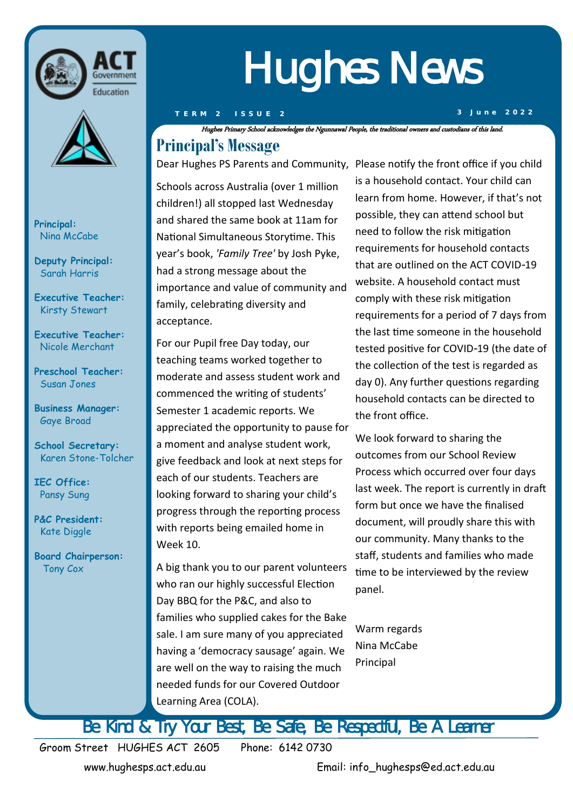



**Principal:**  Nina McCabe

**Deputy Principal:** Sarah Harris

**Executive Teacher:**  Kirsty Stewart

**Executive Teacher:**  Nicole Merchant

**Preschool Teacher:** Susan Jones

**Business Manager:** Gaye Broad

**School Secretary:**  Karen Stone-Tolcher

**IEC Office:** Pansy Sung

**P&C President:** Kate Diggle

**Board Chairperson:** Tony Cox

# Hughes News

Hughes Primary School acknowledges the Ngunnawal People, the traditional owners and custodians of this land.

# **Principal's Message**

Dear Hughes PS Parents and Community, Please notify the front office if you child

Schools across Australia (over 1 million children!) all stopped last Wednesday and shared the same book at 11am for National Simultaneous Storytime. This year's book, *'Family Tree'* by Josh Pyke, had a strong message about the importance and value of community and family, celebrating diversity and acceptance.

For our Pupil free Day today, our teaching teams worked together to moderate and assess student work and commenced the writing of students' Semester 1 academic reports. We appreciated the opportunity to pause for a moment and analyse student work, give feedback and look at next steps for each of our students. Teachers are looking forward to sharing your child's progress through the reporting process with reports being emailed home in Week 10.

A big thank you to our parent volunteers who ran our highly successful Election Day BBQ for the P&C, and also to families who supplied cakes for the Bake sale. I am sure many of you appreciated having a 'democracy sausage' again. We are well on the way to raising the much needed funds for our Covered Outdoor Learning Area (COLA).

is a household contact. Your child can learn from home. However, if that's not possible, they can attend school but need to follow the risk mitigation requirements for household contacts that are outlined on the ACT COVID-19 website. A household contact must comply with these risk mitigation requirements for a period of 7 days from the last time someone in the household tested positive for COVID-19 (the date of the collection of the test is regarded as day 0). Any further questions regarding household contacts can be directed to the front office.

We look forward to sharing the outcomes from our School Review Process which occurred over four days last week. The report is currently in draft form but once we have the finalised document, will proudly share this with our community. Many thanks to the staff, students and families who made time to be interviewed by the review panel.

Warm regards Nina McCabe Principal

Be Kind & Try Your Best, Be Safe, Be Respectful, Be A Learner

Groom Street HUGHES ACT 2605 Phone: 6142 0730

www.hughesps.act.edu.au Email: info\_hughesps@ed.act.edu.au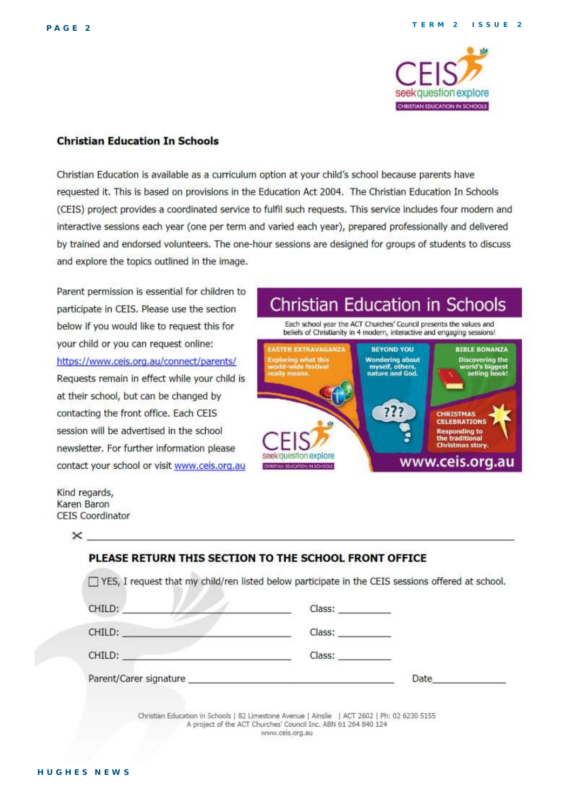

#### **Christian Education In Schools**

Christian Education is available as a curriculum option at your child's school because parents have requested it. This is based on provisions in the Education Act 2004. The Christian Education In Schools (CEIS) project provides a coordinated service to fulfil such requests. This service includes four modern and interactive sessions each year (one per term and varied each year), prepared professionally and delivered by trained and endorsed volunteers. The one-hour sessions are designed for groups of students to discuss and explore the topics outlined in the image.

Parent permission is essential for children to participate in CEIS. Please use the section below if you would like to request this for your child or you can request online: https://www.ceis.org.au/connect/parents/ Requests remain in effect while your child is at their school, but can be changed by contacting the front office. Each CEIS session will be advertised in the school newsletter. For further information please contact your school or visit www.ceis.org.au

**Christian Education in Schools** 

Each school year the ACT Churches' Council presents the values and beliefs of Christianity in 4 modern, interactive and engaging sessions!



Kind regards, Karen Baron **CEIS Coordinator** 

 $\times$  .

| CHILD:                                                                                                                                                                                                                         | Class: Class                                                                                                                                                                                                                   |      |
|--------------------------------------------------------------------------------------------------------------------------------------------------------------------------------------------------------------------------------|--------------------------------------------------------------------------------------------------------------------------------------------------------------------------------------------------------------------------------|------|
| CHILD:                                                                                                                                                                                                                         | Class: Class and Class of the Class of the Class of the Class of the Class of the Class of the Class of the Class of the Class of the Class of the Class of the Class of the Class of the Class of the Class of the Class of t |      |
| <b>PERSONAL STORY</b><br>CHILD:<br><u> Andreas Andreas (1989)</u>                                                                                                                                                              | Class: Class Class                                                                                                                                                                                                             |      |
| Parent/Carer signature experience and the contract of the contract of the contract of the contract of the contract of the contract of the contract of the contract of the contract of the contract of the contract of the cont |                                                                                                                                                                                                                                | Date |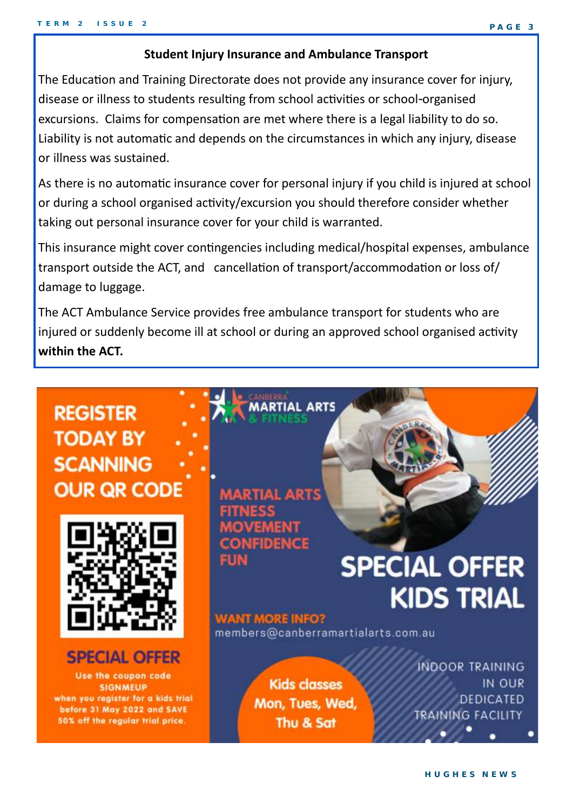#### **Student Injury Insurance and Ambulance Transport**

The Education and Training Directorate does not provide any insurance cover for injury, disease or illness to students resulting from school activities or school-organised excursions. Claims for compensation are met where there is a legal liability to do so. Liability is not automatic and depends on the circumstances in which any injury, disease or illness was sustained.

As there is no automatic insurance cover for personal injury if you child is injured at school or during a school organised activity/excursion you should therefore consider whether taking out personal insurance cover for your child is warranted.

This insurance might cover contingencies including medical/hospital expenses, ambulance transport outside the ACT, and cancellation of transport/accommodation or loss of/ damage to luggage.

The ACT Ambulance Service provides free ambulance transport for students who are injured or suddenly become ill at school or during an approved school organised activity **within the ACT.**

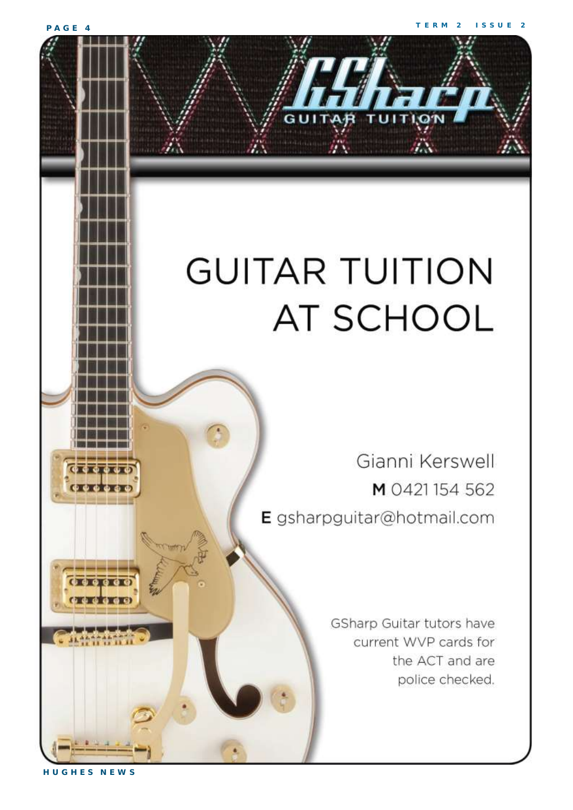#### **P A G E 4**

# **GUITAR TUITION AT SCHOOL**

Gianni Kerswell M 0421154562 E gsharpguitar@hotmail.com

> GSharp Guitar tutors have current WVP cards for the ACT and are police checked.

**H U G H E S N E W S**

 $0.0000$ 

**CENT**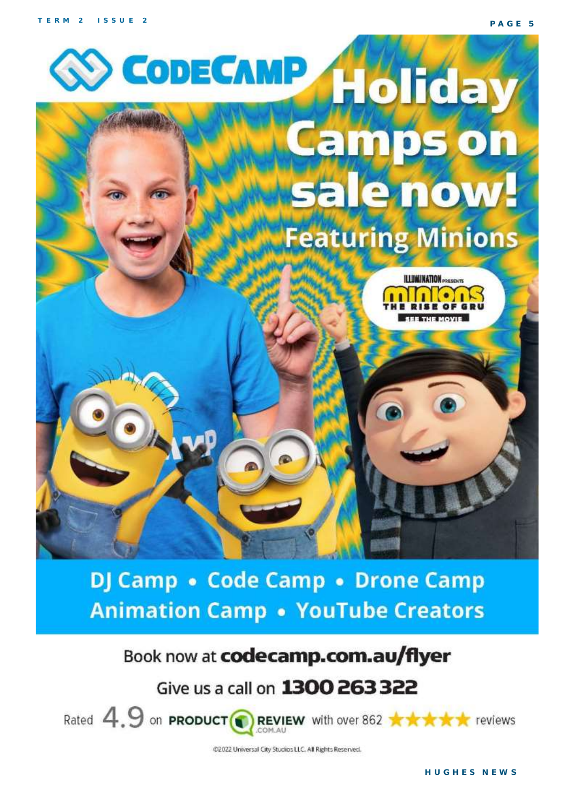**P A G E 5**



# DJ Camp • Code Camp • Drone Camp **Animation Camp • YouTube Creators**

# Book now at codecamp.com.au/flyer

# Give us a call on 1300 263 322



Rated  $4.9$  on **PRODUCT** REVIEW with over 862 \*\*\*\*\*\*\*\*\*\*

@2022 Universal City Studios LLC. All Rights Reserved.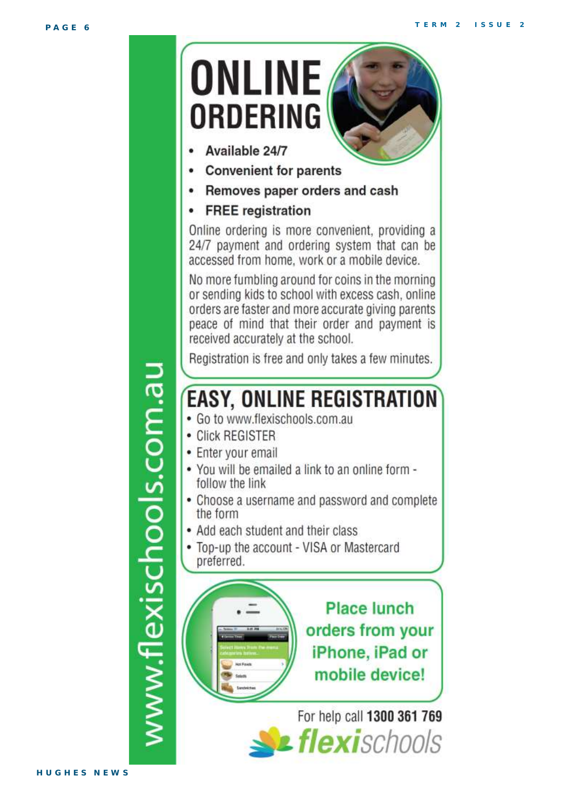

www.flexischools.com.au